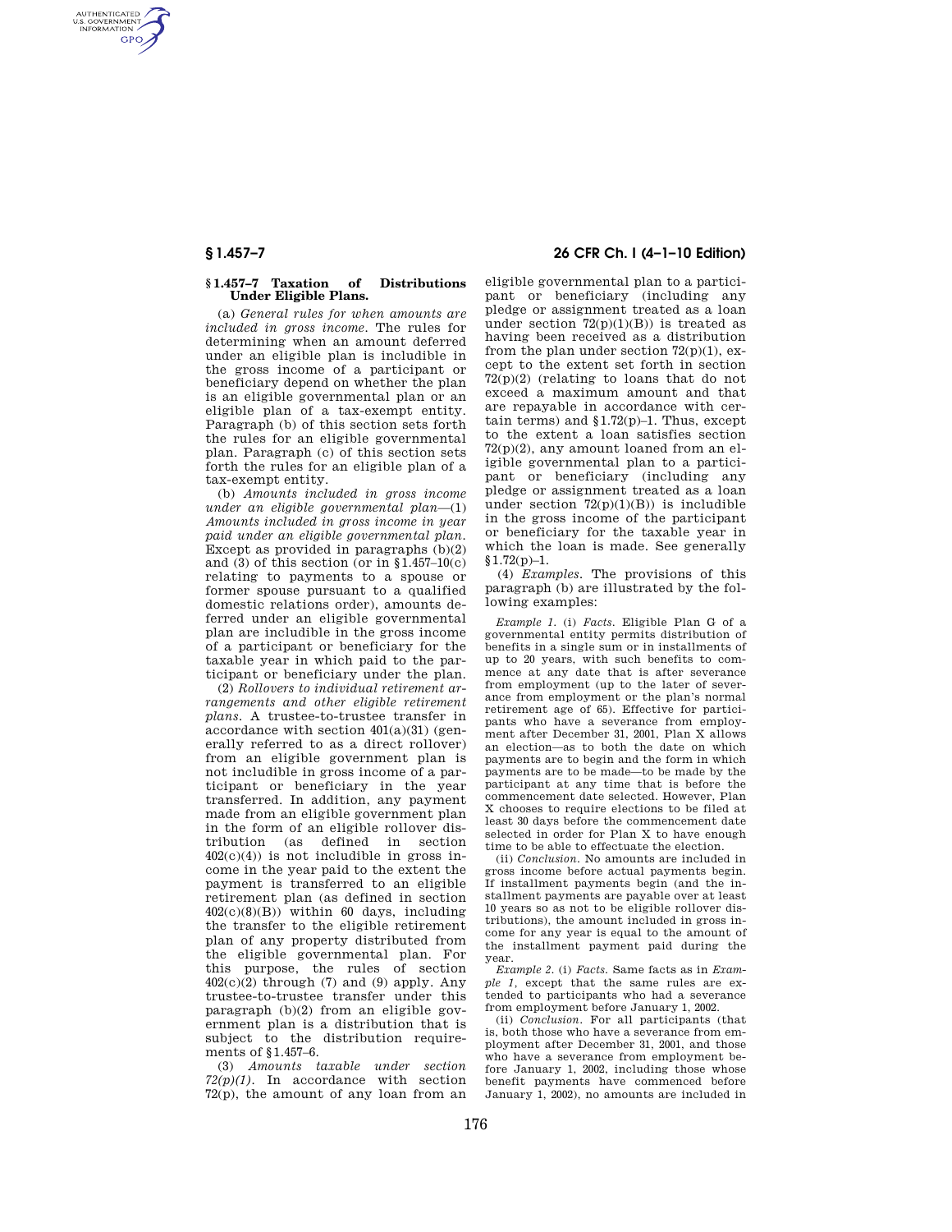AUTHENTICATED<br>U.S. GOVERNMENT<br>INFORMATION **GPO** 

### **§ 1.457–7 Taxation of Distributions Under Eligible Plans.**

(a) *General rules for when amounts are included in gross income.* The rules for determining when an amount deferred under an eligible plan is includible in the gross income of a participant or beneficiary depend on whether the plan is an eligible governmental plan or an eligible plan of a tax-exempt entity. Paragraph (b) of this section sets forth the rules for an eligible governmental plan. Paragraph (c) of this section sets forth the rules for an eligible plan of a tax-exempt entity.

(b) *Amounts included in gross income under an eligible governmental plan*—(1) *Amounts included in gross income in year paid under an eligible governmental plan.*  Except as provided in paragraphs  $(b)(2)$ and (3) of this section (or in  $$1.457-10(c)$ ) relating to payments to a spouse or former spouse pursuant to a qualified domestic relations order), amounts deferred under an eligible governmental plan are includible in the gross income of a participant or beneficiary for the taxable year in which paid to the participant or beneficiary under the plan.

(2) *Rollovers to individual retirement arrangements and other eligible retirement plans.* A trustee-to-trustee transfer in accordance with section 401(a)(31) (generally referred to as a direct rollover) from an eligible government plan is not includible in gross income of a participant or beneficiary in the year transferred. In addition, any payment made from an eligible government plan in the form of an eligible rollover distribution (as defined in section  $402(c)(4)$  is not includible in gross income in the year paid to the extent the payment is transferred to an eligible retirement plan (as defined in section 402(c)(8)(B)) within 60 days, including the transfer to the eligible retirement plan of any property distributed from the eligible governmental plan. For this purpose, the rules of section  $402(c)(2)$  through (7) and (9) apply. Any trustee-to-trustee transfer under this paragraph (b)(2) from an eligible government plan is a distribution that is subject to the distribution requirements of §1.457–6.

(3) *Amounts taxable under section 72(p)(1).* In accordance with section  $72(p)$ , the amount of any loan from an

# **§ 1.457–7 26 CFR Ch. I (4–1–10 Edition)**

eligible governmental plan to a participant or beneficiary (including any pledge or assignment treated as a loan under section  $72(p)(1)(B)$  is treated as having been received as a distribution from the plan under section  $72(p)(1)$ , except to the extent set forth in section  $72(p)(2)$  (relating to loans that do not exceed a maximum amount and that are repayable in accordance with certain terms) and  $$1.72(p)-1$ . Thus, except to the extent a loan satisfies section 72(p)(2), any amount loaned from an eligible governmental plan to a participant or beneficiary (including any pledge or assignment treated as a loan under section  $72(p)(1)(B)$ ) is includible in the gross income of the participant or beneficiary for the taxable year in which the loan is made. See generally  $§1.72(p)-1.$ 

(4) *Examples.* The provisions of this paragraph (b) are illustrated by the following examples:

*Example 1.* (i) *Facts.* Eligible Plan G of a governmental entity permits distribution of benefits in a single sum or in installments of up to 20 years, with such benefits to commence at any date that is after severance from employment (up to the later of severance from employment or the plan's normal retirement age of 65). Effective for participants who have a severance from employment after December 31, 2001, Plan X allows an election—as to both the date on which payments are to begin and the form in which payments are to be made—to be made by the participant at any time that is before the commencement date selected. However, Plan X chooses to require elections to be filed at least 30 days before the commencement date selected in order for Plan X to have enough time to be able to effectuate the election.

(ii) *Conclusion.* No amounts are included in gross income before actual payments begin. If installment payments begin (and the installment payments are payable over at least 10 years so as not to be eligible rollover distributions), the amount included in gross income for any year is equal to the amount of the installment payment paid during the year.

*Example 2.* (i) *Facts.* Same facts as in *Example 1,* except that the same rules are extended to participants who had a severance from employment before January 1, 2002.

(ii) *Conclusion.* For all participants (that is, both those who have a severance from employment after December 31, 2001, and those who have a severance from employment before January 1, 2002, including those whose benefit payments have commenced before January 1, 2002), no amounts are included in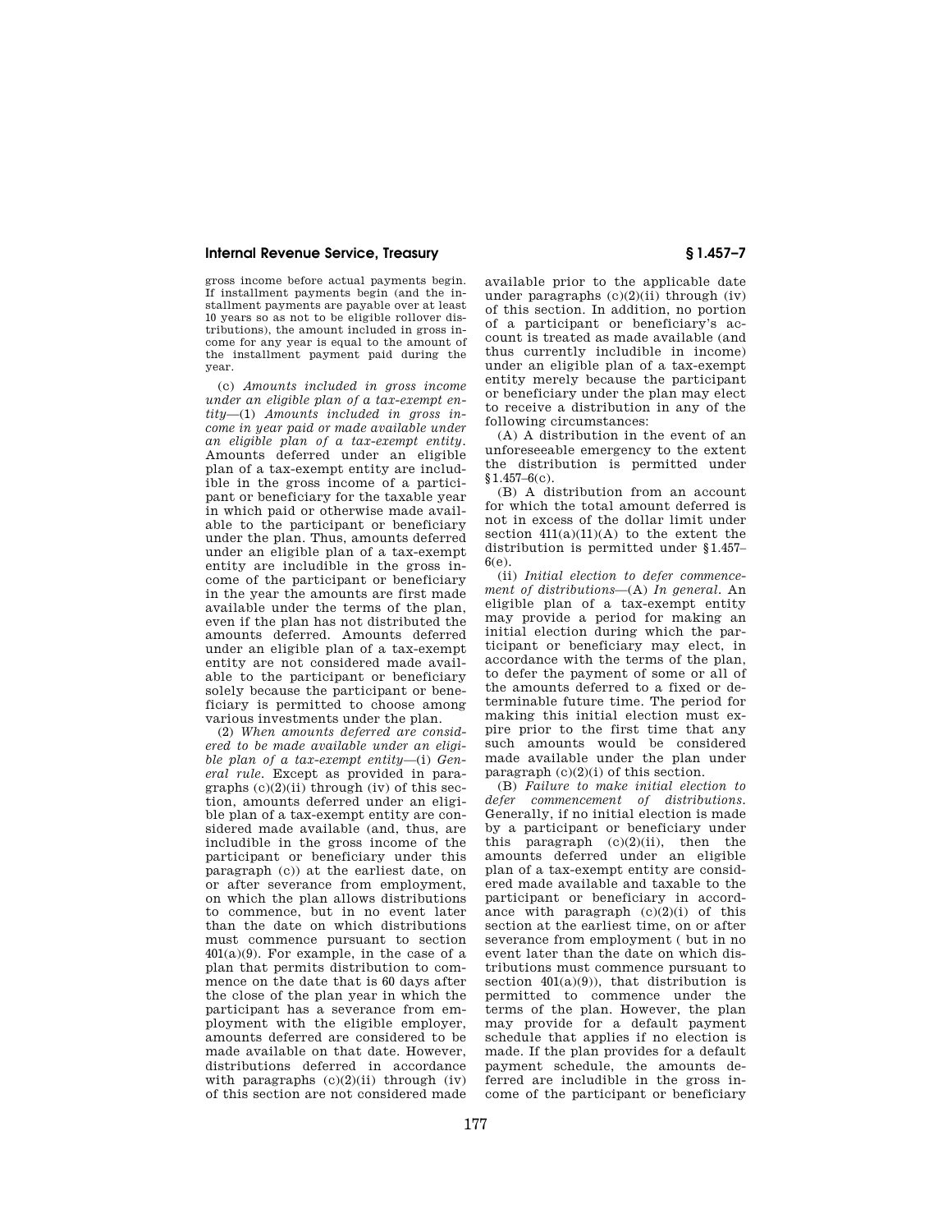## **Internal Revenue Service, Treasury § 1.457–7**

gross income before actual payments begin. If installment payments begin (and the installment payments are payable over at least 10 years so as not to be eligible rollover distributions), the amount included in gross income for any year is equal to the amount of the installment payment paid during the year.

(c) *Amounts included in gross income under an eligible plan of a tax-exempt entity*—(1) *Amounts included in gross income in year paid or made available under an eligible plan of a tax-exempt entity.*  Amounts deferred under an eligible plan of a tax-exempt entity are includible in the gross income of a participant or beneficiary for the taxable year in which paid or otherwise made available to the participant or beneficiary under the plan. Thus, amounts deferred under an eligible plan of a tax-exempt entity are includible in the gross income of the participant or beneficiary in the year the amounts are first made available under the terms of the plan, even if the plan has not distributed the amounts deferred. Amounts deferred under an eligible plan of a tax-exempt entity are not considered made available to the participant or beneficiary solely because the participant or beneficiary is permitted to choose among various investments under the plan.

(2) *When amounts deferred are considered to be made available under an eligible plan of a tax-exempt entity*—(i) *General rule.* Except as provided in paragraphs  $(c)(2)(ii)$  through  $(iv)$  of this section, amounts deferred under an eligible plan of a tax-exempt entity are considered made available (and, thus, are includible in the gross income of the participant or beneficiary under this paragraph (c)) at the earliest date, on or after severance from employment, on which the plan allows distributions to commence, but in no event later than the date on which distributions must commence pursuant to section  $401(a)(9)$ . For example, in the case of a plan that permits distribution to commence on the date that is 60 days after the close of the plan year in which the participant has a severance from employment with the eligible employer, amounts deferred are considered to be made available on that date. However, distributions deferred in accordance with paragraphs  $(c)(2)(ii)$  through  $(iv)$ of this section are not considered made

available prior to the applicable date under paragraphs  $(c)(2)(ii)$  through  $(iv)$ of this section. In addition, no portion of a participant or beneficiary's account is treated as made available (and thus currently includible in income) under an eligible plan of a tax-exempt entity merely because the participant or beneficiary under the plan may elect to receive a distribution in any of the following circumstances:

(A) A distribution in the event of an unforeseeable emergency to the extent the distribution is permitted under  $$1,457–6(c)$ .

(B) A distribution from an account for which the total amount deferred is not in excess of the dollar limit under section  $411(a)(11)(A)$  to the extent the distribution is permitted under §1.457– 6(e).

(ii) *Initial election to defer commencement of distributions*—(A) *In general.* An eligible plan of a tax-exempt entity may provide a period for making an initial election during which the participant or beneficiary may elect, in accordance with the terms of the plan, to defer the payment of some or all of the amounts deferred to a fixed or determinable future time. The period for making this initial election must expire prior to the first time that any such amounts would be considered made available under the plan under paragraph (c)(2)(i) of this section.

(B) *Failure to make initial election to defer commencement of distributions.*  Generally, if no initial election is made by a participant or beneficiary under this paragraph  $(c)(2)(ii)$ , then the amounts deferred under an eligible plan of a tax-exempt entity are considered made available and taxable to the participant or beneficiary in accordance with paragraph  $(c)(2)(i)$  of this section at the earliest time, on or after severance from employment ( but in no event later than the date on which distributions must commence pursuant to section  $401(a)(9)$ , that distribution is permitted to commence under the terms of the plan. However, the plan may provide for a default payment schedule that applies if no election is made. If the plan provides for a default payment schedule, the amounts deferred are includible in the gross income of the participant or beneficiary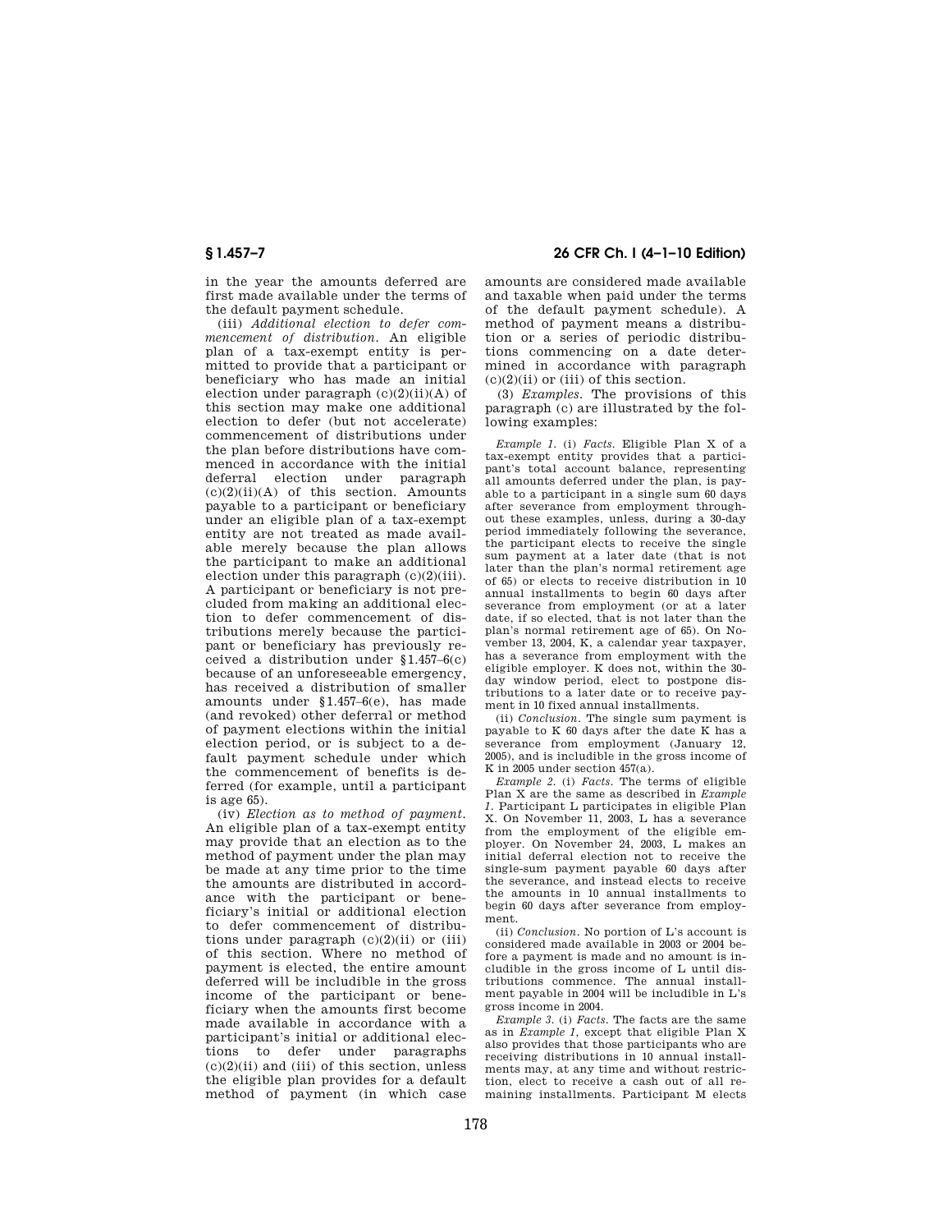in the year the amounts deferred are first made available under the terms of the default payment schedule.

(iii) *Additional election to defer commencement of distribution.* An eligible plan of a tax-exempt entity is permitted to provide that a participant or beneficiary who has made an initial election under paragraph  $(c)(2)(ii)(A)$  of this section may make one additional election to defer (but not accelerate) commencement of distributions under the plan before distributions have commenced in accordance with the initial deferral election under paragraph  $(c)(2)(ii)(A)$  of this section. Amounts payable to a participant or beneficiary under an eligible plan of a tax-exempt entity are not treated as made available merely because the plan allows the participant to make an additional election under this paragraph  $(c)(2)(iii)$ . A participant or beneficiary is not precluded from making an additional election to defer commencement of distributions merely because the participant or beneficiary has previously received a distribution under §1.457–6(c) because of an unforeseeable emergency, has received a distribution of smaller amounts under §1.457–6(e), has made (and revoked) other deferral or method of payment elections within the initial election period, or is subject to a default payment schedule under which the commencement of benefits is deferred (for example, until a participant is age 65).

(iv) *Election as to method of payment.*  An eligible plan of a tax-exempt entity may provide that an election as to the method of payment under the plan may be made at any time prior to the time the amounts are distributed in accordance with the participant or beneficiary's initial or additional election to defer commencement of distributions under paragraph  $(c)(2)(ii)$  or  $(iii)$ of this section. Where no method of payment is elected, the entire amount deferred will be includible in the gross income of the participant or beneficiary when the amounts first become made available in accordance with a participant's initial or additional elections to defer under paragraphs  $(c)(2)(ii)$  and (iii) of this section, unless the eligible plan provides for a default method of payment (in which case

# **§ 1.457–7 26 CFR Ch. I (4–1–10 Edition)**

amounts are considered made available and taxable when paid under the terms of the default payment schedule). A method of payment means a distribution or a series of periodic distributions commencing on a date determined in accordance with paragraph  $(c)(2)(ii)$  or (iii) of this section.

(3) *Examples.* The provisions of this paragraph (c) are illustrated by the following examples:

*Example 1.* (i) *Facts.* Eligible Plan X of a tax-exempt entity provides that a participant's total account balance, representing all amounts deferred under the plan, is payable to a participant in a single sum 60 days after severance from employment throughout these examples, unless, during a 30-day period immediately following the severance, the participant elects to receive the single sum payment at a later date (that is not later than the plan's normal retirement age of 65) or elects to receive distribution in 10 annual installments to begin 60 days after severance from employment (or at a later date, if so elected, that is not later than the plan's normal retirement age of 65). On November 13, 2004, K, a calendar year taxpayer, has a severance from employment with the eligible employer. K does not, within the 30 day window period, elect to postpone distributions to a later date or to receive payment in 10 fixed annual installments.

(ii) *Conclusion.* The single sum payment is payable to K 60 days after the date K has a severance from employment (January 12, 2005), and is includible in the gross income of K in 2005 under section  $457(a)$ .

*Example 2.* (i) *Facts.* The terms of eligible Plan X are the same as described in *Example 1.* Participant L participates in eligible Plan X. On November 11, 2003, L has a severance from the employment of the eligible employer. On November 24, 2003, L makes an initial deferral election not to receive the single-sum payment payable 60 days after the severance, and instead elects to receive the amounts in 10 annual installments to begin 60 days after severance from employment.

(ii) *Conclusion.* No portion of L's account is considered made available in 2003 or 2004 before a payment is made and no amount is includible in the gross income of L until distributions commence. The annual installment payable in 2004 will be includible in L's gross income in 2004.

*Example 3.* (i) *Facts.* The facts are the same as in *Example 1,* except that eligible Plan X also provides that those participants who are receiving distributions in 10 annual installments may, at any time and without restriction, elect to receive a cash out of all remaining installments. Participant M elects